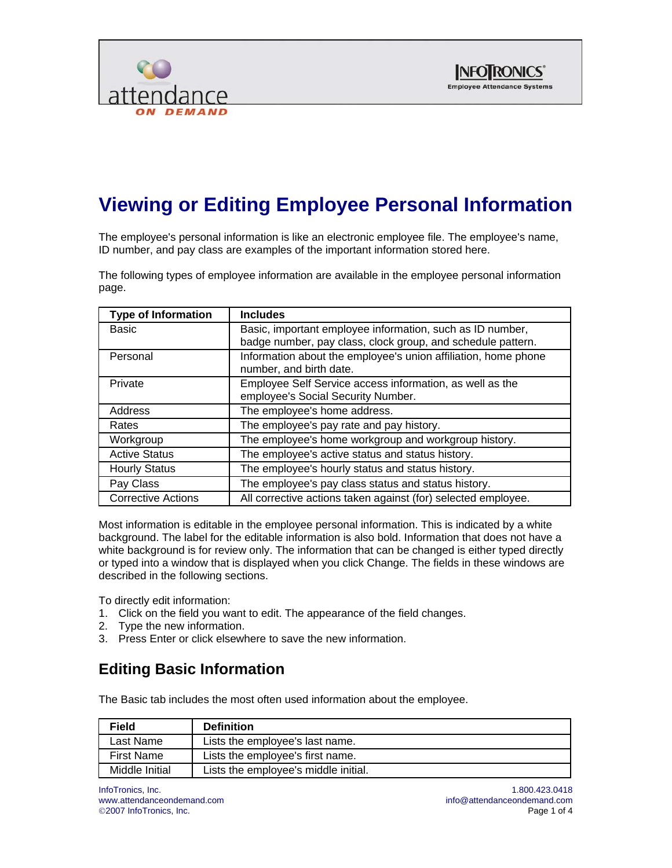



# **Viewing or Editing Employee Personal Information**

The employee's personal information is like an electronic employee file. The employee's name, ID number, and pay class are examples of the important information stored here.

The following types of employee information are available in the employee personal information page.

| <b>Type of Information</b> | <b>Includes</b>                                                                           |
|----------------------------|-------------------------------------------------------------------------------------------|
| Basic                      | Basic, important employee information, such as ID number,                                 |
|                            | badge number, pay class, clock group, and schedule pattern.                               |
| Personal                   | Information about the employee's union affiliation, home phone<br>number, and birth date. |
| Private                    | Employee Self Service access information, as well as the                                  |
|                            | employee's Social Security Number.                                                        |
| Address                    | The employee's home address.                                                              |
| Rates                      | The employee's pay rate and pay history.                                                  |
| Workgroup                  | The employee's home workgroup and workgroup history.                                      |
| <b>Active Status</b>       | The employee's active status and status history.                                          |
| <b>Hourly Status</b>       | The employee's hourly status and status history.                                          |
| Pay Class                  | The employee's pay class status and status history.                                       |
| <b>Corrective Actions</b>  | All corrective actions taken against (for) selected employee.                             |

Most information is editable in the employee personal information. This is indicated by a white background. The label for the editable information is also bold. Information that does not have a white background is for review only. The information that can be changed is either typed directly or typed into a window that is displayed when you click Change. The fields in these windows are described in the following sections.

To directly edit information:

- 1. Click on the field you want to edit. The appearance of the field changes.
- 2. Type the new information.
- 3. Press Enter or click elsewhere to save the new information.

#### **Editing Basic Information**

The Basic tab includes the most often used information about the employee.

| <b>Field</b>      | <b>Definition</b>                    |
|-------------------|--------------------------------------|
| Last Name         | Lists the employee's last name.      |
| <b>First Name</b> | Lists the employee's first name.     |
| Middle Initial    | Lists the employee's middle initial. |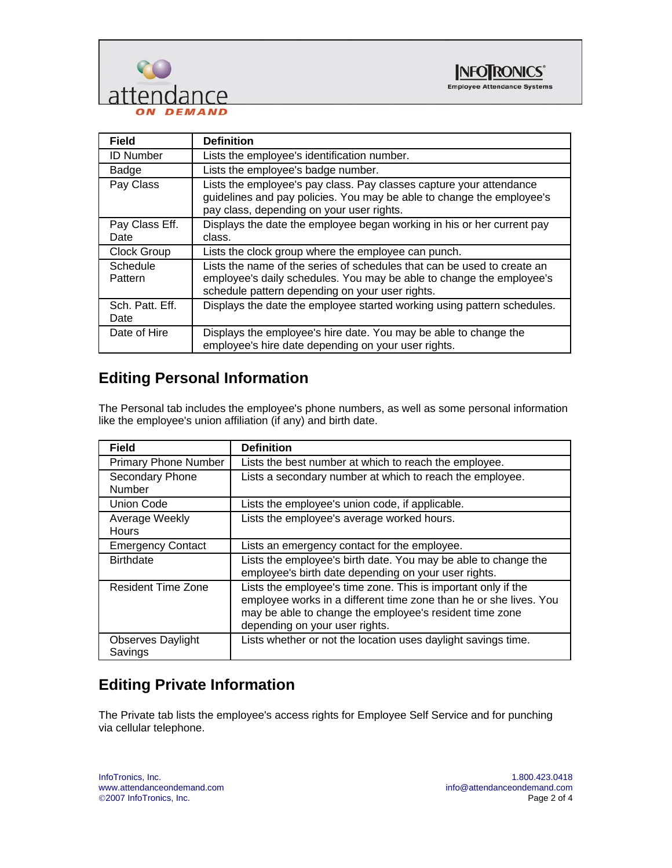



| <b>Field</b>            | <b>Definition</b>                                                                                                                                                                                  |
|-------------------------|----------------------------------------------------------------------------------------------------------------------------------------------------------------------------------------------------|
| <b>ID Number</b>        | Lists the employee's identification number.                                                                                                                                                        |
| Badge                   | Lists the employee's badge number.                                                                                                                                                                 |
| Pay Class               | Lists the employee's pay class. Pay classes capture your attendance<br>guidelines and pay policies. You may be able to change the employee's<br>pay class, depending on your user rights.          |
| Pay Class Eff.          | Displays the date the employee began working in his or her current pay                                                                                                                             |
| Date                    | class.                                                                                                                                                                                             |
| Clock Group             | Lists the clock group where the employee can punch.                                                                                                                                                |
| Schedule<br>Pattern     | Lists the name of the series of schedules that can be used to create an<br>employee's daily schedules. You may be able to change the employee's<br>schedule pattern depending on your user rights. |
| Sch. Patt. Eff.<br>Date | Displays the date the employee started working using pattern schedules.                                                                                                                            |
| Date of Hire            | Displays the employee's hire date. You may be able to change the<br>employee's hire date depending on your user rights.                                                                            |

#### **Editing Personal Information**

The Personal tab includes the employee's phone numbers, as well as some personal information like the employee's union affiliation (if any) and birth date.

| <b>Field</b>                        | <b>Definition</b>                                                                                                                                                                                                               |
|-------------------------------------|---------------------------------------------------------------------------------------------------------------------------------------------------------------------------------------------------------------------------------|
| <b>Primary Phone Number</b>         | Lists the best number at which to reach the employee.                                                                                                                                                                           |
| Secondary Phone<br><b>Number</b>    | Lists a secondary number at which to reach the employee.                                                                                                                                                                        |
| <b>Union Code</b>                   | Lists the employee's union code, if applicable.                                                                                                                                                                                 |
| Average Weekly<br>Hours             | Lists the employee's average worked hours.                                                                                                                                                                                      |
| <b>Emergency Contact</b>            | Lists an emergency contact for the employee.                                                                                                                                                                                    |
| <b>Birthdate</b>                    | Lists the employee's birth date. You may be able to change the<br>employee's birth date depending on your user rights.                                                                                                          |
| <b>Resident Time Zone</b>           | Lists the employee's time zone. This is important only if the<br>employee works in a different time zone than he or she lives. You<br>may be able to change the employee's resident time zone<br>depending on your user rights. |
| <b>Observes Daylight</b><br>Savings | Lists whether or not the location uses daylight savings time.                                                                                                                                                                   |

#### **Editing Private Information**

The Private tab lists the employee's access rights for Employee Self Service and for punching via cellular telephone.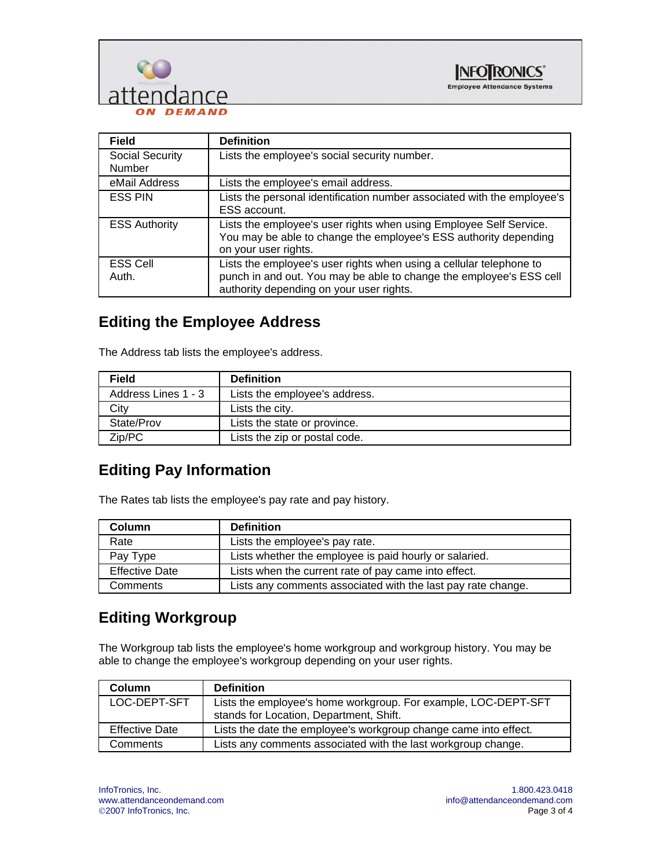



| <b>Field</b>              | <b>Definition</b>                                                                                                                                                                      |
|---------------------------|----------------------------------------------------------------------------------------------------------------------------------------------------------------------------------------|
| Social Security<br>Number | Lists the employee's social security number.                                                                                                                                           |
| eMail Address             | Lists the employee's email address.                                                                                                                                                    |
| <b>ESS PIN</b>            | Lists the personal identification number associated with the employee's<br>ESS account.                                                                                                |
| <b>ESS Authority</b>      | Lists the employee's user rights when using Employee Self Service.<br>You may be able to change the employee's ESS authority depending<br>on your user rights.                         |
| <b>ESS Cell</b><br>Auth.  | Lists the employee's user rights when using a cellular telephone to<br>punch in and out. You may be able to change the employee's ESS cell<br>authority depending on your user rights. |

## **Editing the Employee Address**

The Address tab lists the employee's address.

| <b>Field</b>        | <b>Definition</b>             |
|---------------------|-------------------------------|
| Address Lines 1 - 3 | Lists the employee's address. |
| Citv                | Lists the city.               |
| State/Prov          | Lists the state or province.  |
| Zip/PC              | Lists the zip or postal code. |

#### **Editing Pay Information**

The Rates tab lists the employee's pay rate and pay history.

| Column                | <b>Definition</b>                                            |
|-----------------------|--------------------------------------------------------------|
| Rate                  | Lists the employee's pay rate.                               |
| Pay Type              | Lists whether the employee is paid hourly or salaried.       |
| <b>Effective Date</b> | Lists when the current rate of pay came into effect.         |
| Comments              | Lists any comments associated with the last pay rate change. |

#### **Editing Workgroup**

The Workgroup tab lists the employee's home workgroup and workgroup history. You may be able to change the employee's workgroup depending on your user rights.

| <b>Column</b>         | <b>Definition</b>                                                |
|-----------------------|------------------------------------------------------------------|
| LOC-DEPT-SFT          | Lists the employee's home workgroup. For example, LOC-DEPT-SFT   |
|                       | stands for Location, Department, Shift.                          |
| <b>Effective Date</b> | Lists the date the employee's workgroup change came into effect. |
| Comments              | Lists any comments associated with the last workgroup change.    |